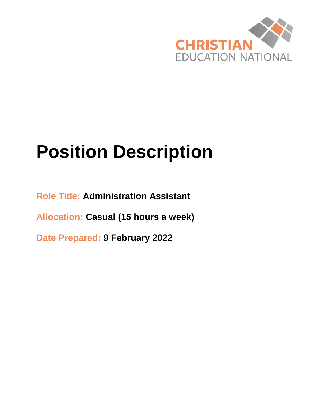

# **Position Description**

**Role Title: Administration Assistant**

**Allocation: Casual (15 hours a week)**

**Date Prepared: 9 February 2022**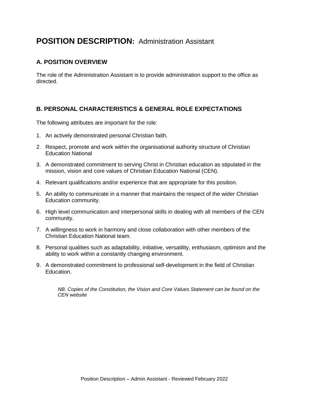# **POSITION DESCRIPTION:** Administration Assistant

#### **A. POSITION OVERVIEW**

The role of the Administration Assistant is to provide administration support to the office as directed.

#### **B. PERSONAL CHARACTERISTICS & GENERAL ROLE EXPECTATIONS**

The following attributes are important for the role:

- 1. An actively demonstrated personal Christian faith.
- 2. Respect, promote and work within the organisational authority structure of Christian Education National
- 3. A demonstrated commitment to serving Christ in Christian education as stipulated in the mission, vision and core values of Christian Education National (CEN).
- 4. Relevant qualifications and/or experience that are appropriate for this position.
- 5. An ability to communicate in a manner that maintains the respect of the wider Christian Education community.
- 6. High level communication and interpersonal skills in dealing with all members of the CEN community.
- 7. A willingness to work in harmony and close collaboration with other members of the Christian Education National team.
- 8. Personal qualities such as adaptability, initiative, versatility, enthusiasm, optimism and the ability to work within a constantly changing environment.
- 9. A demonstrated commitment to professional self-development in the field of Christian Education.

*NB. Copies of the Constitution, the Vision and Core Values Statement can be found on the CEN website*